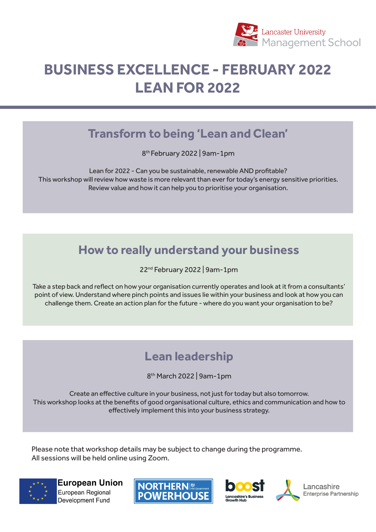

## **BUSINESS EXCELLENCE - FEBRUARY 2022 LEAN FOR 2022**

#### **Transform to being 'Lean and Clean'**

8th February 2022 | 9am-1pm

Lean for 2022 - Can you be sustainable, renewable AND profitable? This workshop will review how waste is more relevant than ever for today's energy sensitive priorities. Review value and how it can help you to prioritise your organisation.

### **How to really understand your business**

22nd February 2022 | 9am-1pm

Take a step back and reflect on how your organisation currently operates and look at it from a consultants' point of view. Understand where pinch points and issues lie within your business and look at how you can challenge them. Create an action plan for the future - where do you want your organisation to be?

## **Lean leadership**

8th March 2022 | 9am-1pm

Create an effective culture in your business, not just for today but also tomorrow. This workshop looks at the benefits of good organisational culture, ethics and communication and how to effectively implement this into your business strategy.

Please note that workshop details may be subject to change during the programme. All sessions will be held online using Zoom.



**European Union** European Regional Development Fund





Lancashire Enterprise Partnership